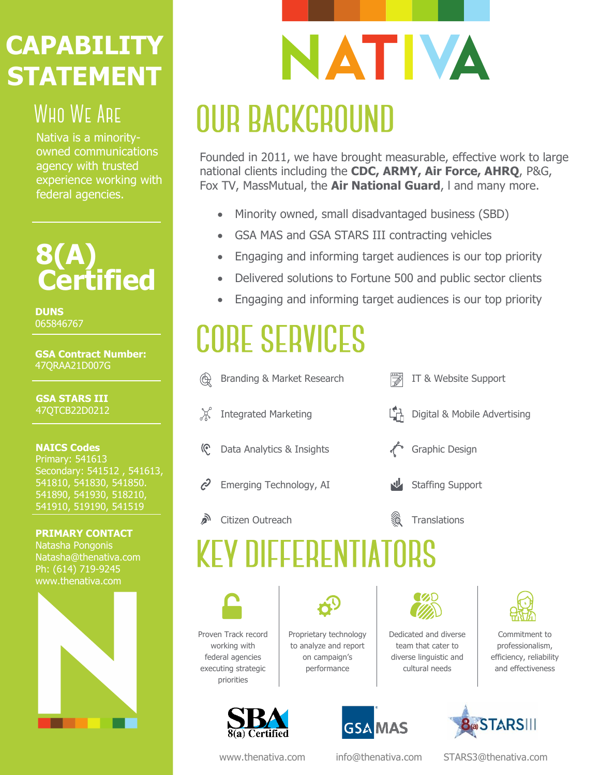## **CAPABILITY STATEMENT**

## **WHO WE ARE**

Nativa is a minorityowned communications agency with trusted experience working with federal agencies.

## **8(A) Certified**

**DUNS** 065846767

**GSA Contract Number:** 47QRAA21D007G

**GSA STARS III** 47QTCB22D0212

#### **NAICS Codes** Primary: 541613 Secondary: 541512 , 541613, 541810, 541830, 541850. 541890, 541930, 518210, 541910, 519190, 541519

**PRIMARY CONTACT** Natasha Pongonis Natasha@thenativa.com Ph: (614) 719-9245 www.thenativa.com



# NATIVA **OUR BACKGROUND**

Founded in 2011, we have brought measurable, effective work to large national clients including the **CDC, ARMY, Air Force, AHRQ**, P&G, Fox TV, MassMutual, the **Air National Guard**, l and many more.

- Minority owned, small disadvantaged business (SBD)
- GSA MAS and GSA STARS III contracting vehicles
- Engaging and informing target audiences is our top priority
- Delivered solutions to Fortune 500 and public sector clients
- Engaging and informing target audiences is our top priority

# **CORE SERVICES**

Branding & Market Research IT & Website Support  $\chi$ Integrated Marketing Digital & Mobile Advertising Data Analytics & Insights Graphic Design (၉  $\mathcal{C}$ Emerging Technology, AI Staffing Support روم Citizen Outreach **Translations EY DIFFERENTIATO** Proven Track record Proprietary technology Dedicated and diverse working with to analyze and report team that cater to federal agencies on campaign's



executing strategic priorities



diverse linguistic and cultural needs

Commitment to professionalism, efficiency, reliability and effectiveness



**GSA MAS** 

www.thenativa.com [info@thenativa.com](mailto:info@thenativa.com) [STARS3@thenativa.com](mailto:STARS3@thenativa.com)